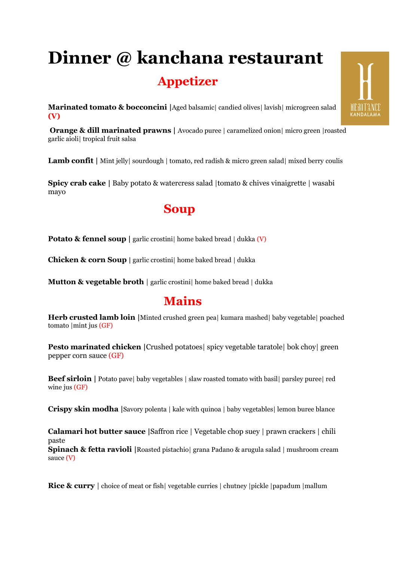# **Dinner @ kanchana restaurant Appetizer**

**Marinated tomato & bocconcini** |Aged balsamic| candied olives| lavish| microgreen salad **(V)**

**Orange & dill marinated prawns** | Avocado puree | caramelized onion | micro green | roasted garlic aioli| tropical fruit salsa

**Lamb confit** | Mint jelly| sourdough | tomato, red radish & micro green salad| mixed berry coulis

**Spicy crab cake |** Baby potato & watercress salad |tomato & chives vinaigrette | wasabi mayo

### **Soup**

**Potato & fennel soup** | garlic crostini home baked bread | dukka (V)

**Chicken & corn Soup |** garlic crostini| home baked bread | dukka

**Mutton & vegetable broth** | garlic crostini | home baked bread | dukka

## **Mains**

**Herb crusted lamb loin |**Minted crushed green pea| kumara mashed| baby vegetable| poached tomato |mint jus (GF)

**Pesto marinated chicken |**Crushed potatoes| spicy vegetable taratole| bok choy| green pepper corn sauce (GF)

**Beef sirloin** | Potato pave| baby vegetables | slaw roasted tomato with basil| parsley puree| red wine jus (GF)

**Crispy skin modha** | Savory polenta | kale with quinoa | baby vegetables| lemon buree blance

**Calamari hot butter sauce |**Saffron rice | Vegetable chop suey | prawn crackers | chili paste **Spinach & fetta ravioli |**Roasted pistachio| grana Padano & arugula salad | mushroom cream sauce (V)

**Rice & curry** | choice of meat or fish| vegetable curries | chutney | pickle | papadum | mallum